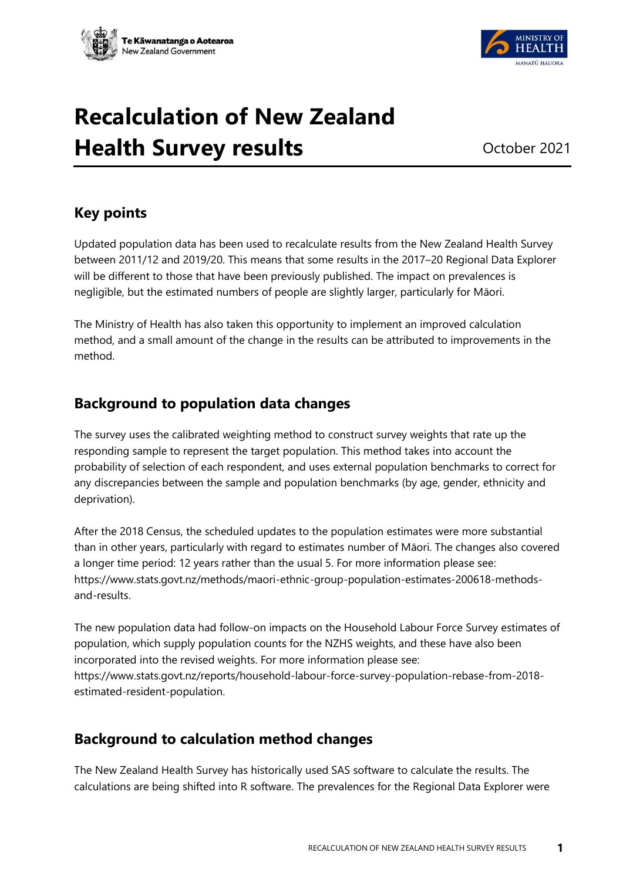



# **Recalculation of New Zealand Health Survey results** October 2021

## **Key points**

Updated population data has been used to recalculate results from the New Zealand Health Survey between 2011/12 and 2019/20. This means that some results in the 2017–20 Regional Data Explorer will be different to those that have been previously published. The impact on prevalences is negligible, but the estimated numbers of people are slightly larger, particularly for Māori.

The Ministry of Health has also taken this opportunity to implement an improved calculation method, and a small amount of the change in the results can be attributed to improvements in the method.

## **Background to population data changes**

The survey uses the calibrated weighting method to construct survey weights that rate up the responding sample to represent the target population. This method takes into account the probability of selection of each respondent, and uses external population benchmarks to correct for any discrepancies between the sample and population benchmarks (by age, gender, ethnicity and deprivation).

After the 2018 Census, the scheduled updates to the population estimates were more substantial than in other years, particularly with regard to estimates number of Māori. The changes also covered a longer time period: 12 years rather than the usual 5. For more information please see: [https://www.stats.govt.nz/methods/maori-ethnic-group-population-estimates-200618-methods](https://www.stats.govt.nz/methods/maori-ethnic-group-population-estimates-200618-methods-and-results)[and-results.](https://www.stats.govt.nz/methods/maori-ethnic-group-population-estimates-200618-methods-and-results)

The new population data had follow-on impacts on the Household Labour Force Survey estimates of population, which supply population counts for the NZHS weights, and these have also been incorporated into the revised weights. For more information please see: [https://www.stats.govt.nz/reports/household-labour-force-survey-population-rebase-from-2018](https://www.stats.govt.nz/reports/household-labour-force-survey-population-rebase-from-2018-estimated-resident-population) [estimated-resident-population.](https://www.stats.govt.nz/reports/household-labour-force-survey-population-rebase-from-2018-estimated-resident-population)

## **Background to calculation method changes**

The New Zealand Health Survey has historically used SAS software to calculate the results. The calculations are being shifted into R software. The prevalences for the Regional Data Explorer were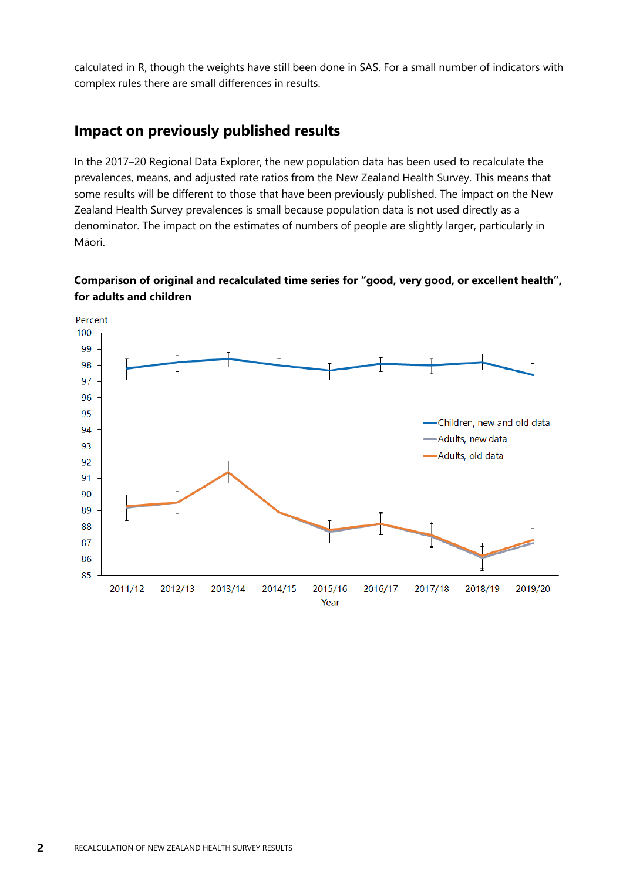calculated in R, though the weights have still been done in SAS. For a small number of indicators with complex rules there are small differences in results.

### **Impact on previously published results**

In the 2017–20 Regional Data Explorer, the new population data has been used to recalculate the prevalences, means, and adjusted rate ratios from the New Zealand Health Survey. This means that some results will be different to those that have been previously published. The impact on the New Zealand Health Survey prevalences is small because population data is not used directly as a denominator. The impact on the estimates of numbers of people are slightly larger, particularly in Māori.

#### **Comparison of original and recalculated time series for "good, very good, or excellent health", for adults and children**

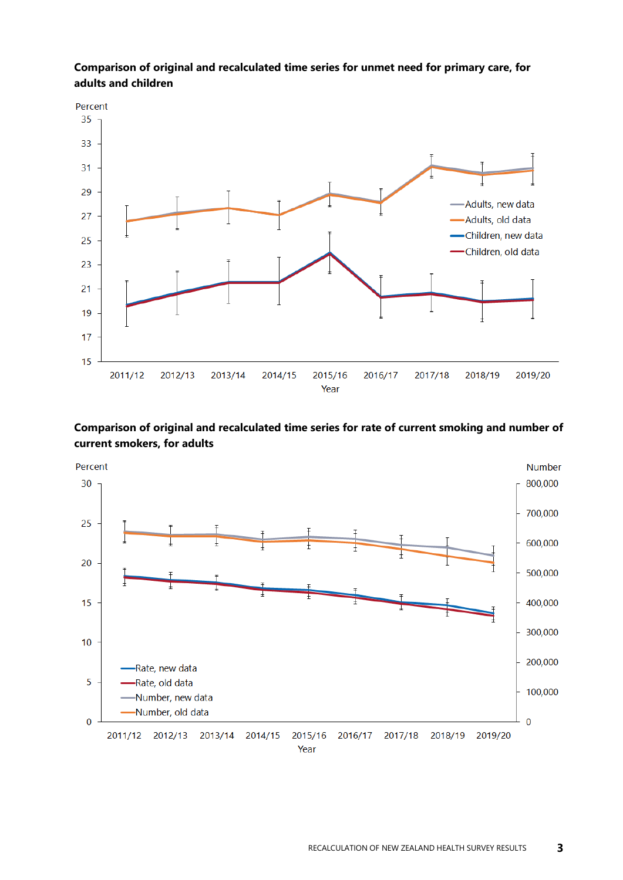

#### **Comparison of original and recalculated time series for unmet need for primary care, for adults and children**